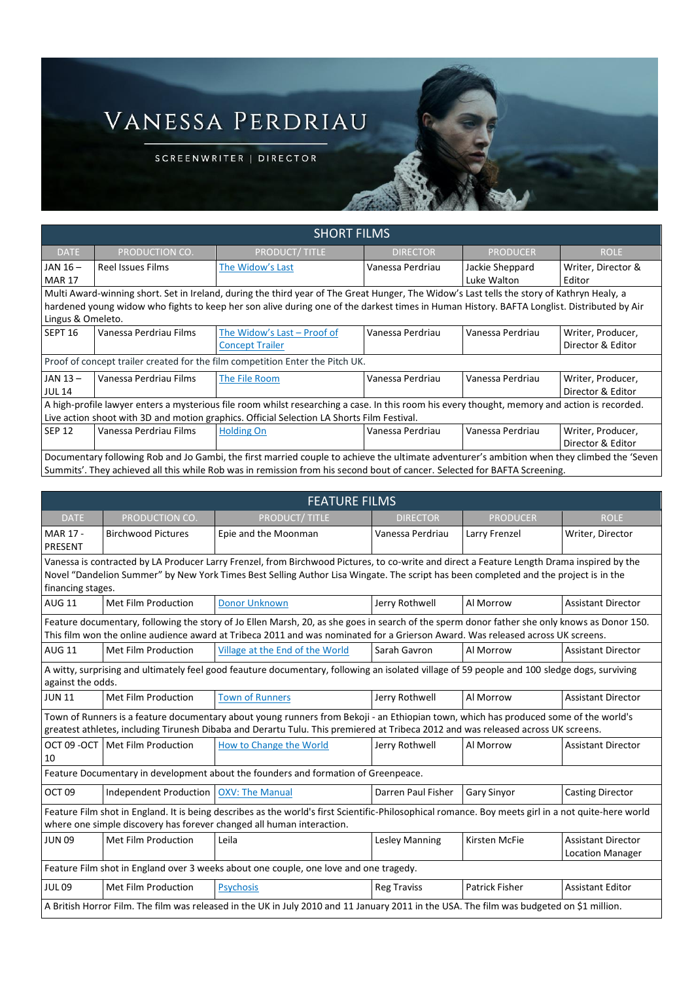## VANESSA PERDRIAU

SCREENWRITER | DIRECTOR

| <b>SHORT FILMS</b>                                                                                                                                                                                                                                                                                            |                          |                                                       |                  |                                |                                        |
|---------------------------------------------------------------------------------------------------------------------------------------------------------------------------------------------------------------------------------------------------------------------------------------------------------------|--------------------------|-------------------------------------------------------|------------------|--------------------------------|----------------------------------------|
| <b>DATE</b>                                                                                                                                                                                                                                                                                                   | PRODUCTION CO.           | <b>PRODUCT/TITLE</b>                                  | <b>DIRECTOR</b>  | <b>PRODUCER</b>                | <b>ROLE</b>                            |
| JAN 16-<br><b>MAR 17</b>                                                                                                                                                                                                                                                                                      | <b>Reel Issues Films</b> | The Widow's Last                                      | Vanessa Perdriau | Jackie Sheppard<br>Luke Walton | Writer, Director &<br>Editor           |
| Multi Award-winning short. Set in Ireland, during the third year of The Great Hunger, The Widow's Last tells the story of Kathryn Healy, a<br>hardened young widow who fights to keep her son alive during one of the darkest times in Human History. BAFTA Longlist. Distributed by Air<br>Lingus & Omeleto. |                          |                                                       |                  |                                |                                        |
| SEPT <sub>16</sub>                                                                                                                                                                                                                                                                                            | Vanessa Perdriau Films   | The Widow's Last - Proof of<br><b>Concept Trailer</b> | Vanessa Perdriau | Vanessa Perdriau               | Writer, Producer,<br>Director & Editor |
| Proof of concept trailer created for the film competition Enter the Pitch UK.                                                                                                                                                                                                                                 |                          |                                                       |                  |                                |                                        |
| JAN 13-<br><b>JUL 14</b>                                                                                                                                                                                                                                                                                      | Vanessa Perdriau Films   | The File Room                                         | Vanessa Perdriau | Vanessa Perdriau               | Writer, Producer,<br>Director & Editor |
| A high-profile lawyer enters a mysterious file room whilst researching a case. In this room his every thought, memory and action is recorded.<br>Live action shoot with 3D and motion graphics. Official Selection LA Shorts Film Festival.                                                                   |                          |                                                       |                  |                                |                                        |
| <b>SEP 12</b>                                                                                                                                                                                                                                                                                                 | Vanessa Perdriau Films   | <b>Holding On</b>                                     | Vanessa Perdriau | Vanessa Perdriau               | Writer, Producer,<br>Director & Editor |
| Documentary following Rob and Jo Gambi, the first married couple to achieve the ultimate adventurer's ambition when they climbed the 'Seven<br>Summits'. They achieved all this while Rob was in remission from his second bout of cancer. Selected for BAFTA Screening.                                      |                          |                                                       |                  |                                |                                        |

| <b>FEATURE FILMS</b>                                                                                                                                                                                                                                                                                    |                                          |                                 |                    |                       |                                                      |
|---------------------------------------------------------------------------------------------------------------------------------------------------------------------------------------------------------------------------------------------------------------------------------------------------------|------------------------------------------|---------------------------------|--------------------|-----------------------|------------------------------------------------------|
| <b>DATE</b>                                                                                                                                                                                                                                                                                             | PRODUCTION CO.                           | <b>PRODUCT/TITLE</b>            | <b>DIRECTOR</b>    | <b>PRODUCER</b>       | <b>ROLE</b>                                          |
| MAR 17 -<br>PRESENT                                                                                                                                                                                                                                                                                     | <b>Birchwood Pictures</b>                | Epie and the Moonman            | Vanessa Perdriau   | Larry Frenzel         | Writer, Director                                     |
| Vanessa is contracted by LA Producer Larry Frenzel, from Birchwood Pictures, to co-write and direct a Feature Length Drama inspired by the<br>Novel "Dandelion Summer" by New York Times Best Selling Author Lisa Wingate. The script has been completed and the project is in the<br>financing stages. |                                          |                                 |                    |                       |                                                      |
| <b>AUG 11</b>                                                                                                                                                                                                                                                                                           | Met Film Production                      | Donor Unknown                   | Jerry Rothwell     | Al Morrow             | <b>Assistant Director</b>                            |
| Feature documentary, following the story of Jo Ellen Marsh, 20, as she goes in search of the sperm donor father she only knows as Donor 150.<br>This film won the online audience award at Tribeca 2011 and was nominated for a Grierson Award. Was released across UK screens.                         |                                          |                                 |                    |                       |                                                      |
| <b>AUG 11</b>                                                                                                                                                                                                                                                                                           | Met Film Production                      | Village at the End of the World | Sarah Gavron       | Al Morrow             | <b>Assistant Director</b>                            |
| A witty, surprising and ultimately feel good feauture documentary, following an isolated village of 59 people and 100 sledge dogs, surviving<br>against the odds.                                                                                                                                       |                                          |                                 |                    |                       |                                                      |
| <b>JUN 11</b>                                                                                                                                                                                                                                                                                           | Met Film Production                      | <b>Town of Runners</b>          | Jerry Rothwell     | Al Morrow             | <b>Assistant Director</b>                            |
| Town of Runners is a feature documentary about young runners from Bekoji - an Ethiopian town, which has produced some of the world's<br>greatest athletes, including Tirunesh Dibaba and Derartu Tulu. This premiered at Tribeca 2012 and was released across UK screens.                               |                                          |                                 |                    |                       |                                                      |
| 10                                                                                                                                                                                                                                                                                                      | OCT 09 - OCT   Met Film Production       | How to Change the World         | Jerry Rothwell     | Al Morrow             | <b>Assistant Director</b>                            |
| Feature Documentary in development about the founders and formation of Greenpeace.                                                                                                                                                                                                                      |                                          |                                 |                    |                       |                                                      |
| OCT <sub>09</sub>                                                                                                                                                                                                                                                                                       | Independent Production   OXV: The Manual |                                 | Darren Paul Fisher | <b>Gary Sinyor</b>    | <b>Casting Director</b>                              |
| Feature Film shot in England. It is being describes as the world's first Scientific-Philosophical romance. Boy meets girl in a not quite-here world<br>where one simple discovery has forever changed all human interaction.                                                                            |                                          |                                 |                    |                       |                                                      |
| <b>JUN 09</b>                                                                                                                                                                                                                                                                                           | Met Film Production                      | Leila                           | Lesley Manning     | Kirsten McFie         | <b>Assistant Director</b><br><b>Location Manager</b> |
| Feature Film shot in England over 3 weeks about one couple, one love and one tragedy.                                                                                                                                                                                                                   |                                          |                                 |                    |                       |                                                      |
| <b>JUL09</b>                                                                                                                                                                                                                                                                                            | Met Film Production                      | <b>Psychosis</b>                | <b>Reg Traviss</b> | <b>Patrick Fisher</b> | <b>Assistant Editor</b>                              |
| A British Horror Film. The film was released in the UK in July 2010 and 11 January 2011 in the USA. The film was budgeted on \$1 million.                                                                                                                                                               |                                          |                                 |                    |                       |                                                      |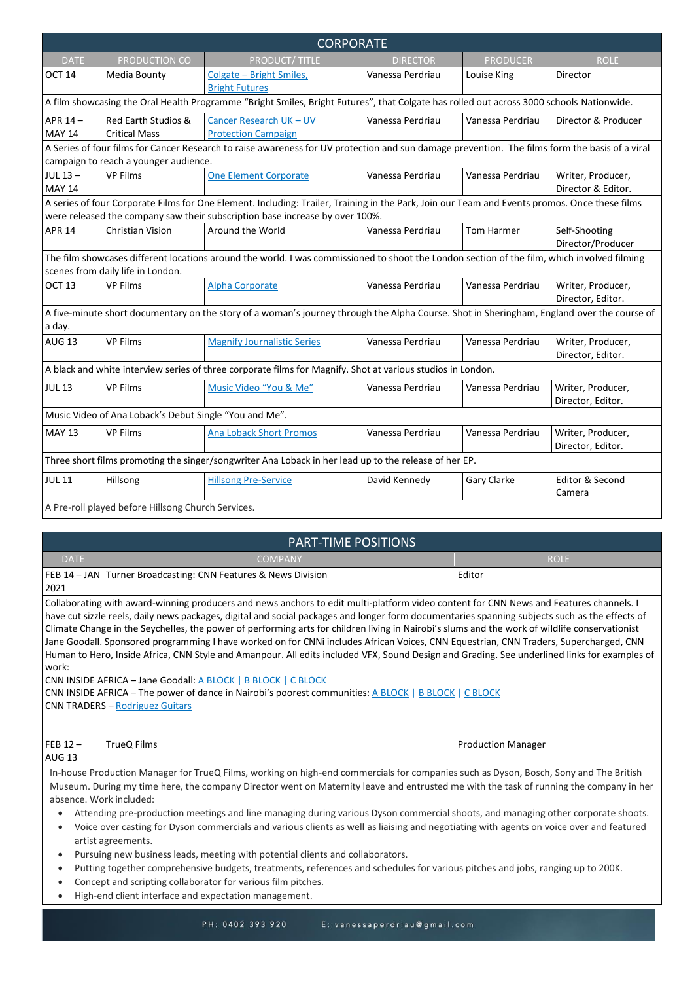| <b>CORPORATE</b>                                                                                                                                                                 |                                                        |                                                                                                                                                                                                                               |                  |                   |                                         |
|----------------------------------------------------------------------------------------------------------------------------------------------------------------------------------|--------------------------------------------------------|-------------------------------------------------------------------------------------------------------------------------------------------------------------------------------------------------------------------------------|------------------|-------------------|-----------------------------------------|
| <b>DATE</b>                                                                                                                                                                      | PRODUCTION CO                                          | <b>PRODUCT/TITLE</b>                                                                                                                                                                                                          | <b>DIRECTOR</b>  | <b>PRODUCER</b>   | <b>ROLE</b>                             |
| OCT <sub>14</sub>                                                                                                                                                                | Media Bounty                                           | Colgate - Bright Smiles,<br><b>Bright Futures</b>                                                                                                                                                                             | Vanessa Perdriau | Louise King       | Director                                |
|                                                                                                                                                                                  |                                                        | A film showcasing the Oral Health Programme "Bright Smiles, Bright Futures", that Colgate has rolled out across 3000 schools Nationwide.                                                                                      |                  |                   |                                         |
| APR 14-<br><b>MAY 14</b>                                                                                                                                                         | Red Earth Studios &<br><b>Critical Mass</b>            | Cancer Research UK - UV<br><b>Protection Campaign</b>                                                                                                                                                                         | Vanessa Perdriau | Vanessa Perdriau  | Director & Producer                     |
|                                                                                                                                                                                  | campaign to reach a younger audience.                  | A Series of four films for Cancer Research to raise awareness for UV protection and sun damage prevention. The films form the basis of a viral                                                                                |                  |                   |                                         |
| JUL $13-$<br><b>MAY 14</b>                                                                                                                                                       | <b>VP Films</b>                                        | <b>One Element Corporate</b>                                                                                                                                                                                                  | Vanessa Perdriau | Vanessa Perdriau  | Writer, Producer,<br>Director & Editor. |
|                                                                                                                                                                                  |                                                        | A series of four Corporate Films for One Element. Including: Trailer, Training in the Park, Join our Team and Events promos. Once these films<br>were released the company saw their subscription base increase by over 100%. |                  |                   |                                         |
| <b>APR 14</b>                                                                                                                                                                    | <b>Christian Vision</b>                                | Around the World                                                                                                                                                                                                              | Vanessa Perdriau | <b>Tom Harmer</b> | Self-Shooting<br>Director/Producer      |
| The film showcases different locations around the world. I was commissioned to shoot the London section of the film, which involved filming<br>scenes from daily life in London. |                                                        |                                                                                                                                                                                                                               |                  |                   |                                         |
| OCT <sub>13</sub>                                                                                                                                                                | <b>VP Films</b>                                        | <b>Alpha Corporate</b>                                                                                                                                                                                                        | Vanessa Perdriau | Vanessa Perdriau  | Writer, Producer,<br>Director, Editor.  |
| a day.                                                                                                                                                                           |                                                        | A five-minute short documentary on the story of a woman's journey through the Alpha Course. Shot in Sheringham, England over the course of                                                                                    |                  |                   |                                         |
| <b>AUG 13</b>                                                                                                                                                                    | <b>VP Films</b>                                        | <b>Magnify Journalistic Series</b>                                                                                                                                                                                            | Vanessa Perdriau | Vanessa Perdriau  | Writer, Producer,<br>Director, Editor.  |
|                                                                                                                                                                                  |                                                        | A black and white interview series of three corporate films for Magnify. Shot at various studios in London.                                                                                                                   |                  |                   |                                         |
| <b>JUL 13</b>                                                                                                                                                                    | <b>VP Films</b>                                        | Music Video "You & Me"                                                                                                                                                                                                        | Vanessa Perdriau | Vanessa Perdriau  | Writer, Producer,<br>Director, Editor.  |
|                                                                                                                                                                                  | Music Video of Ana Loback's Debut Single "You and Me". |                                                                                                                                                                                                                               |                  |                   |                                         |
| <b>MAY 13</b>                                                                                                                                                                    | <b>VP Films</b>                                        | <b>Ana Loback Short Promos</b>                                                                                                                                                                                                | Vanessa Perdriau | Vanessa Perdriau  | Writer, Producer,<br>Director, Editor.  |
|                                                                                                                                                                                  |                                                        | Three short films promoting the singer/songwriter Ana Loback in her lead up to the release of her EP.                                                                                                                         |                  |                   |                                         |
| <b>JUL 11</b>                                                                                                                                                                    | Hillsong                                               | <b>Hillsong Pre-Service</b>                                                                                                                                                                                                   | David Kennedy    | Gary Clarke       | Editor & Second<br>Camera               |
|                                                                                                                                                                                  | A Pre-roll played before Hillsong Church Services.     |                                                                                                                                                                                                                               |                  |                   |                                         |

| <b>PART-TIME POSITIONS</b>                                                                                                                                                                                                                                                              |                                                                                                                                              |                           |  |  |
|-----------------------------------------------------------------------------------------------------------------------------------------------------------------------------------------------------------------------------------------------------------------------------------------|----------------------------------------------------------------------------------------------------------------------------------------------|---------------------------|--|--|
| <b>DATE</b>                                                                                                                                                                                                                                                                             | <b>COMPANY</b>                                                                                                                               | <b>ROLE</b>               |  |  |
|                                                                                                                                                                                                                                                                                         | FEB 14 - JAN Turner Broadcasting: CNN Features & News Division                                                                               | Editor                    |  |  |
| 2021                                                                                                                                                                                                                                                                                    |                                                                                                                                              |                           |  |  |
|                                                                                                                                                                                                                                                                                         | Collaborating with award-winning producers and news anchors to edit multi-platform video content for CNN News and Features channels. I       |                           |  |  |
| have cut sizzle reels, daily news packages, digital and social packages and longer form documentaries spanning subjects such as the effects of                                                                                                                                          |                                                                                                                                              |                           |  |  |
| Climate Change in the Seychelles, the power of performing arts for children living in Nairobi's slums and the work of wildlife conservationist<br>Jane Goodall. Sponsored programming I have worked on for CNNi includes African Voices, CNN Equestrian, CNN Traders, Supercharged, CNN |                                                                                                                                              |                           |  |  |
|                                                                                                                                                                                                                                                                                         | Human to Hero, Inside Africa, CNN Style and Amanpour. All edits included VFX, Sound Design and Grading. See underlined links for examples of |                           |  |  |
| work:                                                                                                                                                                                                                                                                                   |                                                                                                                                              |                           |  |  |
| CNN INSIDE AFRICA - Jane Goodall: A BLOCK   B BLOCK   C BLOCK                                                                                                                                                                                                                           |                                                                                                                                              |                           |  |  |
| CNN INSIDE AFRICA - The power of dance in Nairobi's poorest communities: A BLOCK   B BLOCK   C BLOCK                                                                                                                                                                                    |                                                                                                                                              |                           |  |  |
| <b>CNN TRADERS - Rodriguez Guitars</b>                                                                                                                                                                                                                                                  |                                                                                                                                              |                           |  |  |
|                                                                                                                                                                                                                                                                                         |                                                                                                                                              |                           |  |  |
| FEB $12-$                                                                                                                                                                                                                                                                               | TrueQ Films                                                                                                                                  | <b>Production Manager</b> |  |  |
| <b>AUG 13</b>                                                                                                                                                                                                                                                                           |                                                                                                                                              |                           |  |  |
| In-house Production Manager for TrueQ Films, working on high-end commercials for companies such as Dyson, Bosch, Sony and The British                                                                                                                                                   |                                                                                                                                              |                           |  |  |
| Museum. During my time here, the company Director went on Maternity leave and entrusted me with the task of running the company in her                                                                                                                                                  |                                                                                                                                              |                           |  |  |
| absence. Work included:                                                                                                                                                                                                                                                                 |                                                                                                                                              |                           |  |  |
| Attending pre-production meetings and line managing during various Dyson commercial shoots, and managing other corporate shoots.<br>$\bullet$                                                                                                                                           |                                                                                                                                              |                           |  |  |
| Voice over casting for Dyson commercials and various clients as well as liaising and negotiating with agents on voice over and featured<br>$\bullet$                                                                                                                                    |                                                                                                                                              |                           |  |  |

- artist agreements. • Pursuing new business leads, meeting with potential clients and collaborators.
- Putting together comprehensive budgets, treatments, references and schedules for various pitches and jobs, ranging up to 200K.
- Concept and scripting collaborator for various film pitches.
- High-end client interface and expectation management.